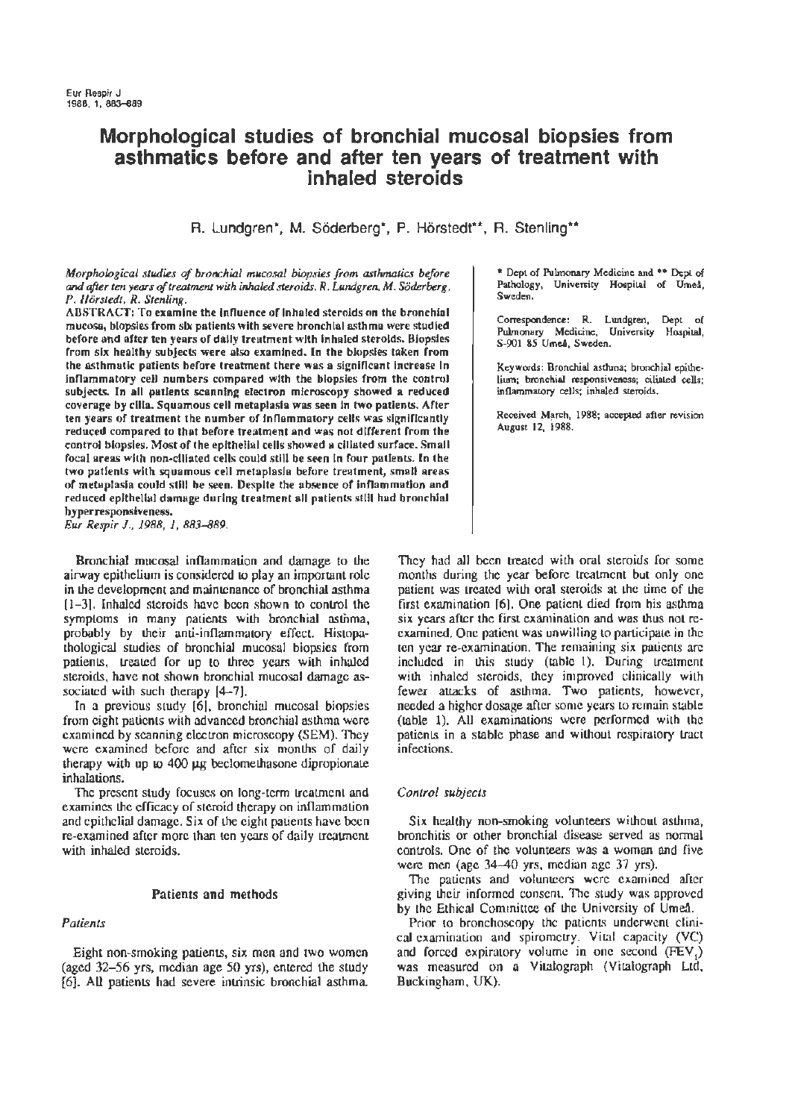# **Morphological studies of bronchial mucosal biopsies from asthmatics before and after ten years of treatment with inhaled steroids**

R. Lundgren\*, M. Söderberg\*, P. Hörstedt\*\*, R. Stenling\*\*

#### *Morphological studies of bronchial mucosal biopsies from asthmatics before*  and *after ten years of treatment with inhaled steroids. R. Lundgren, M. Soderberg, P. Horstedt, R. Stenling.*

ABSTRACT: To examine the influence of inhaled steroids on the bronchial mucosa, biopsies from six patients with severe bronchial asthma were studied before and after ten years of dally treatment with Inhaled steroids. Biopsies from six healthy subjects were also examined. In the biopsies taken from the asthmatic patients before treatment there was a significant increase in lnnammatory ceU numbers compared with the biopsies from the control subjects. ln all patients scanning electron microscopy showed a reduced coverage by cilia. Squamous cell metaplasia was seen In two patients. After ten years of treatment the number of inflammatory cells was significantly reduced compared to that before treatment and was not different from the control biopsies. Most of the epithelial cells showed a cillated surface. Small focal areas with non-ciliated cells could still be seen In four patients. *In* the two patients with squamous cell metaplasia before treatment, small areas of metaplasia could still be seen. Despite the absence of inflammation and reduced epithelial damage during treatment all patients still had bronchial hyperresponsiveness.

*Eur Respir* J., *1988, 1, 883-889.* 

Bronchial mucosal inflammation and damage to the airway epithelium is considered 10 play an important role in the development and maintenance of bronchial aslhma  $[1-3]$ . Inhaled steroids have been shown to control the symptoms in many patients wilh bronchial asthma, probably by their anti-inflammatory effect. Histopathological studies of bronchial mucosal biopsies from patients, treated for up to three years with inhaled steroids, have not shown bronchial mucosal damage associated with such therapy  $[4-7]$ .

In a previous study [6]. bronchial mucosal biopsies from eight patients with advanced bronchial asthma were examined by scanning electron microscopy (SEM). They were examined before and after six months of daily therapy with up to  $400 \mu$ g beclomethasone dipropionate inhalations.

The present study focuses on long-term treatment and examines the efficacy of steroid therapy on inflammation and epithelial damage. Six of the eight palients have been re-examined after more than ten years of daily treatment with inhaled steroids.

## Patients and methods

## *Patients*

Eight non-smoking patients, six men and two women (aged 32-56 yrs, median age 50 yrs), entered the study [6]. All patients had severe intrinsic bronchial asthma. • Dept of Pulmonary Medicine and •• Dept of Pathology, University Hospital of UmeA, Sweden.

Correspondence: R. Lundgren, Dept of Pulmonary Medicine, University Hospital, S-901 85 UmeA, Sweden.

Keywords: Bronchial asthma; bronchial epitheliwn; bronchial responsiveness; ciliated cells; inflammatory cells; inhaled steroids.

Received March, 1988; accepted after revision August 12, 1988.

They had all been treated with oral steroids for some months during the year before treauncnt but only one patient was treated with oral steroids at the time of the first examination [6]. One patient died from his asthma six years after the first examination and was thus not reexamined. One patient was unwilling to participate in the ten year re-examination. The remaining six patients are included in this study (table 1). During treatment with inhaled steroids, they improved clinically with fewer attacks of aslhma. Two patients, however, needed a higher dosage after some years to remain stable (table 1). All examinations were performed with the patients in a stable phase and without respiratory Lract infections.

## *Control subjects*

Six healthy non-smoking volunteers without asthma, bronchitis or other bronchial disease served as normal controls. One of the volunteers was a woman and five were men (age  $34-40$  yrs, median age  $37$  yrs).

The patients and volunteers were examined after giving their informed consent. The study was approved by the Ethical Committee of the University of Umea.

Prior to bronchoscopy the patients underwent clinical examination and spirometry. Vital capacity (VC) and forced expiratory volume in one second  $(FEV<sub>1</sub>)$ was measured on a Vitalograph (Vitalograph Ltd, Buckingham, UK).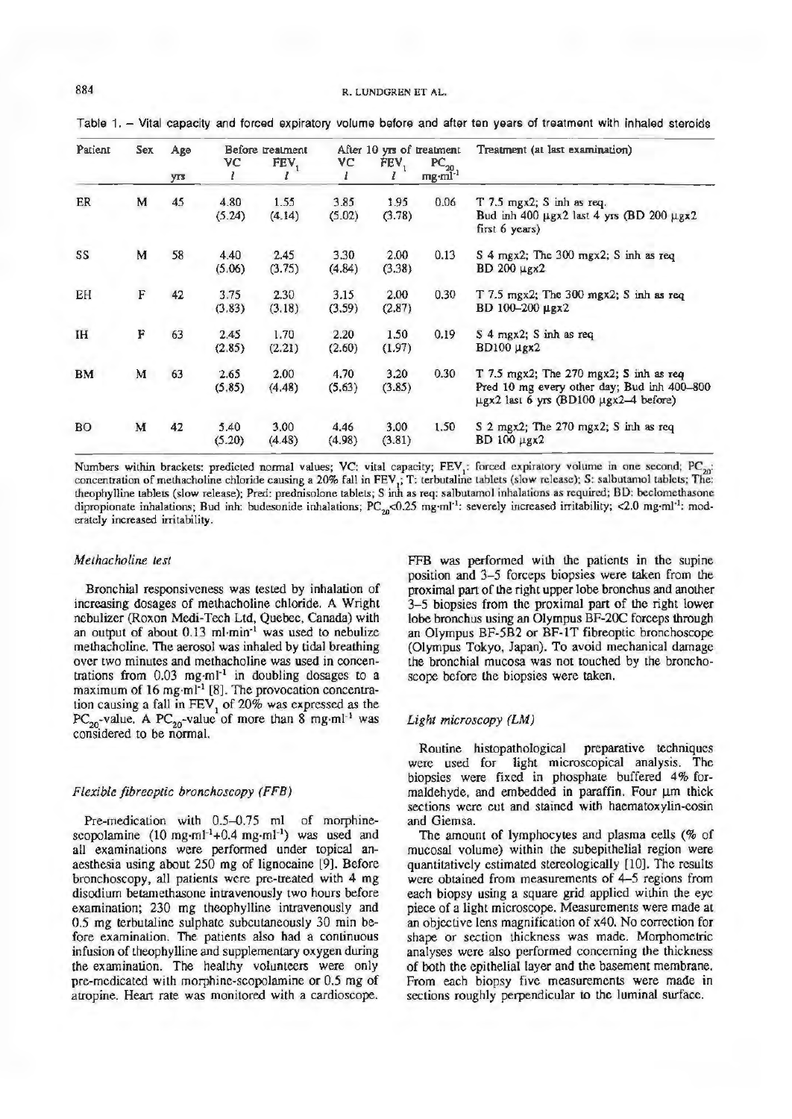Table 1. - Vital capacity and forced expiratory volume before and after ten years of treatment with inhaled steroids

| Patient   | Sex | Age<br>yrs | Before treatment |                  | After 10 yrs of treatment |                |                                                         | Treatment (at last examination)                                                                                                            |
|-----------|-----|------------|------------------|------------------|---------------------------|----------------|---------------------------------------------------------|--------------------------------------------------------------------------------------------------------------------------------------------|
|           |     |            | VC<br>ı          | FEV <sub>1</sub> | VС                        | $FEV_1$        | $\tfrac{\text{PC}_{20}}{\text{mg}\cdot \text{ml}^{-1}}$ |                                                                                                                                            |
| ER        | M   | 45         | 4.80<br>(5.24)   | 1.55<br>(4.14)   | 3.85<br>(5.02)            | 1.95<br>(3.78) | 0.06                                                    | $T$ 7.5 mgx2; S inh as req.<br>Bud inh 400 µgx2 last 4 yrs (BD 200 µgx2<br>first $6$ years)                                                |
| SS        | M   | 58         | 4.40<br>(5.06)   | 2.45<br>(3.75)   | 3.30<br>(4.84)            | 2.00<br>(3.38) | 0.13                                                    | S 4 mgx2; The 300 mgx2; S inh as req<br>$BD$ 200 $\mu$ gx2                                                                                 |
| EH        | F   | 42         | 3.75<br>(3.83)   | 2.30<br>(3.18)   | 3.15<br>(3.59)            | 2.00<br>(2.87) | 0.30                                                    | T 7.5 mgx2; The 300 mgx2; S inh as req<br>BD 100-200 µgx2                                                                                  |
| IH        | F   | 63         | 2.45<br>(2.85)   | 1.70<br>(2.21)   | 2.20<br>(2.60)            | 1.50<br>(1.97) | 0.19                                                    | S 4 mgx2; S inh as req<br><b>BD100</b> µgx2                                                                                                |
| <b>BM</b> | M   | 63         | 2.65<br>(5.85)   | 2.00<br>(4.48)   | 4.70<br>(5,63)            | 3.20<br>(3.85) | 0.30                                                    | $T$ 7.5 mgx2; The 270 mgx2; S inh as req<br>Pred 10 mg every other day; Bud inh 400-800<br>$\mu$ gx2 last 6 yrs (BD100 $\mu$ gx2-4 before) |
| <b>BO</b> | M   | 42         | 5.40<br>(5.20)   | 3.00<br>(4.48)   | 4,46<br>(4.98)            | 3.00<br>(3.81) | 1.50                                                    | S 2 mgx2; The 270 mgx2; S inh as req<br>BD 100 µgx2                                                                                        |

Numbers within brackets: predicted normal values; VC: vital capacity; FEV<sub>1</sub>: forced expiratory volume in one second; PC<sub>20</sub>: concentration of methacholine chloride causing a 20% fall in FEV<sub>1</sub>; T: terbutaline tablets (slow release); S: salbutamol tablets; The: theophylline tablets (slow release); Pred: prednisolone tablets; *S* inh as req: salbulamol inhalations as required; BD: beclomelhasonc dipropionate inhalations; Bud inh: budesonide inhalations;  $PC_{20}$ <0.25 mg·ml<sup>-1</sup>: severely increased irritability; <2.0 mg·ml<sup>-1</sup>: moderatcly increased irritability.

## *Methacholine test*

Bronchial responsiveness was tested by inhalation of increasing dosages of methacholine chloride. A Wright nebulizer (Roxon Medi-Tech Ltd, Quebec, Canada) with an output of about 0.13 ml·min· 1 was used to nebulize methacholine. The aerosol was inhaled by tidal breathing over two minutes and methacholine was used in concentrations from  $0.03$  mg $\cdot$ ml<sup>-1</sup> in doubling dosages to a maximum of  $16$  mg·ml<sup>-1</sup> [8]. The provocation concentration causing a fall in  $FEV<sub>1</sub>$  of 20% was expressed as the PC<sub>20</sub>-value. A PC<sub>20</sub>-value of more than  $8 \text{ mg} \cdot \text{m}^{1-1}$  was considered to be normal.

#### *Flexible fibreoptic bronchoscopy (FFB)*

Pre-medication with 0.5-0.75 ml of morphinescopolamine  $(10 \text{ mg} \cdot \text{m} \cdot 1^{-1} + 0.4 \text{ mg} \cdot \text{m} \cdot 1^{-1})$  was used and all examinations were performed under topical anaesthesia using about 250 mg of lignocaine [9). Before bronchoscopy, all patients were pre-treated with 4 mg disodium betamethasone intravenously two hours before examination; 230 mg theophylline intravenously and 0.5 mg terbutaline sulphate subcutaneously 30 min before examination. The patients also had a continuous infusion of theophylline and supplementary oxygen during the examination. The healthy volunteers were only pre-medicated with morphine-scopolamine or 0.5 mg of alropine. Heart rate was monitored with a cardioscope.

FFB was performed with the patients in the supine position and 3-5 forceps biopsies were taken from the proximal part of the right upper lobe bronchus and another 3-5 biopsies from the proximal part of the right lower lobe bronchus using an Olympus BF-20C forceps through an Olympus BF-5B2 or BF-lT fibreoptic bronchoscope (Olympus Tokyo, Japan). To avoid mechanical damage the bronchial mucosa was not touched by the bronchoscope before the biopsies were taken.

#### *Light microscopy (LM)*

Routine histopathological preparative techniques were used for light microscopical analysis. The biopsies were fixed in phosphate buffered 4% formaldehyde, and embedded in paraffin. Four um thick sections were cut and stained with haematoxylin-eosin and Giemsa.

The amount of lymphocytes and plasma cells (% of mucosal volume) within the subepithelial region were quantitatively estimated stereologically [10]. The results were obtained from measurements of 4-5 regions from each biopsy using a square grid applied within the eye piece of a light microscope. Measurements were made at an objective lens magnification of x40. No correction for shape or section thickness was made. Morphometric analyses were also performed concerning the thickness of both the epithelial layer and the basement membrane. From each biopsy five measurements were made in sections roughly perpendicular to the luminal surface.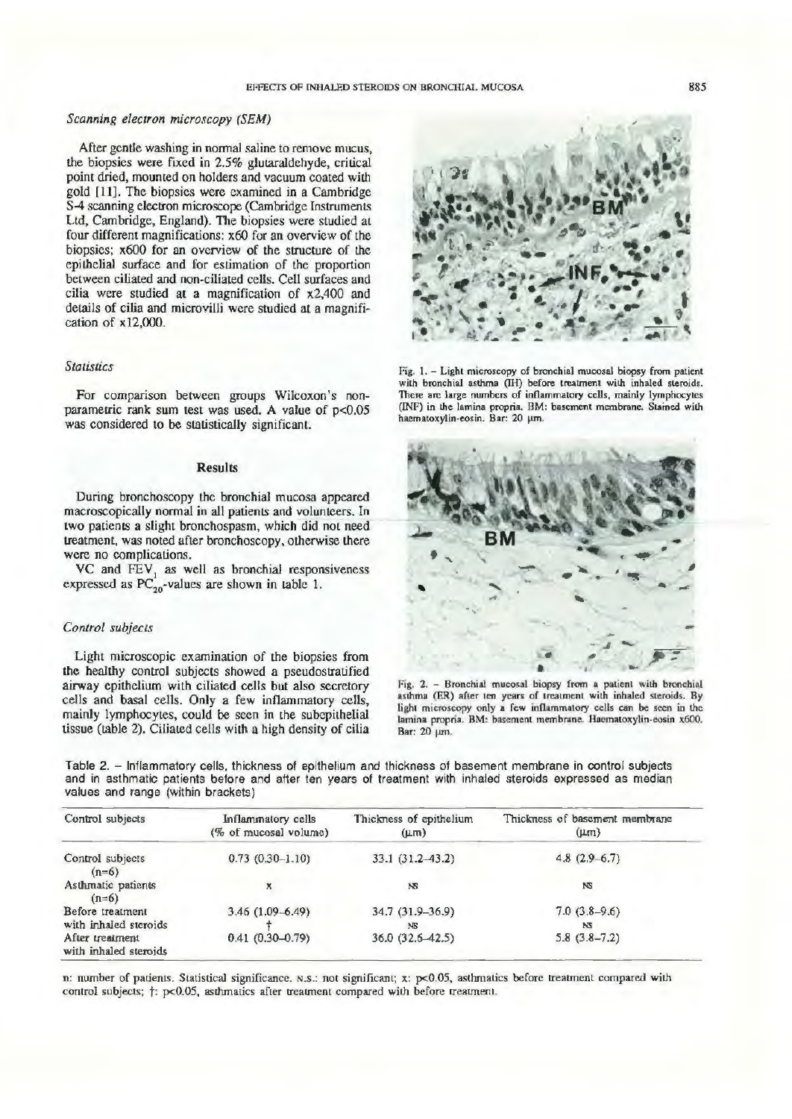## *Scanning electron microscopy (SEM)*

After gentle washing in normal saline to remove mucus, the biopsies were fixed in 2.5% glutaraldehyde, critical point dried, mounted on holders and vacuum coated wilh gold [11]. The biopsies were examined in a Cambridge S-4 scanning electron microscope (Cambridge Instruments Ltd, Cambridge, England). The biopsies were studied at four different magnifications: x60 for an overview of the biopsies;  $x600$  for an overview of the structure of the epilhelial surface and for estimation of the proportion between ciliated and non-ciliated cells. Cell surfaces and cilia were studied at a magnification of x2,400 and details of cilia and microvilli were studied at a magnification of x 12,000.

## *Statistics*

For comparison between groups Wilcoxon's nonparametric rank sum test was used. A value of p<0.05 was considered to be statistically significant.

## Results

During bronchoscopy the bronchial mucosa appeared macroscopically normal in all patients and volunteers. In two patients a slight bronchospasm, which did not need treatment, was noted after bronchoscopy, otherwise there were no complications.

VC and  $FEV<sub>1</sub>$  as well as bronchial responsiveness expressed as  $PC_{20}$ -values are shown in table 1.

#### *Control subjects*

Light microscopic examination of the biopsies from the healthy control subjects showed a pseudostratified airway epithelium with ciliated cells but also secretory cells and basal cells. Only a few inflammatory cells, mainly lymphocytes, could be seen in the subepithelial tissue (table 2). Ciliated cells with a high density of cilia

Fig. I. - Light microscopy of bronchial mucosal biopsy from patient with bronchial asthma (IH) before treatment with inhaled steroids. There are large numbers of inflammatory cells, mainly lymphocytes (INF) in the lamina propria. BM: basement membrane. Stained with haematoxylin-eosin. Bar: 20 um.



Fig. 2. - Bronchial mucosal biopsy from a patient with bronchial asthma (ER) after ten years of treatment with inhaled steroids. By light microscopy only a few inflammatory cells can be seen in the lamina propria. BM: basement membrane. Hucmatoxylin-eosin x600. Bar: 20 µm.

Table 2. - Inflammatory cells, thickness of epithelium and thickness of basement membrane in control subjects and in asthmatic patients before and after ten years of treatment with inhaled steroids expressed as median values and range (within brackets)

| Control subjects                         | <b>Inflammatory</b> cells<br>(% of mucosal volume) | Thickness of epithelium<br>$(\mu m)$ | Thickness of basement membrane<br>$(\mu$ m |
|------------------------------------------|----------------------------------------------------|--------------------------------------|--------------------------------------------|
| Control subjects<br>$(n=6)$              | $0.73(0.30-1.10)$                                  | 33.1 (31.2-43.2)                     | $4.8(2.9-6.7)$                             |
| Asthmatic patients<br>$(n=6)$            |                                                    | NS                                   | NS                                         |
| Before treatment                         | $3.46(1.09 - 6.49)$                                | 34.7 (31.9-36.9)                     | $7.0(3.8-9.6)$                             |
| with inhaled steroids                    |                                                    | NS.                                  | NS                                         |
| After treatment<br>with inhaled steroids | $0.41(0.30-0.79)$                                  | 36.0 (32.6-42.5)                     | $5.8(3.8-7.2)$                             |

n: number of patients. Statistical significance. N.S.: not significant; x: p<0.05, asthmatics before treatment compared with control subjects;  $\dagger$ : p<0.05, asthmatics after treatment compared with before treatment.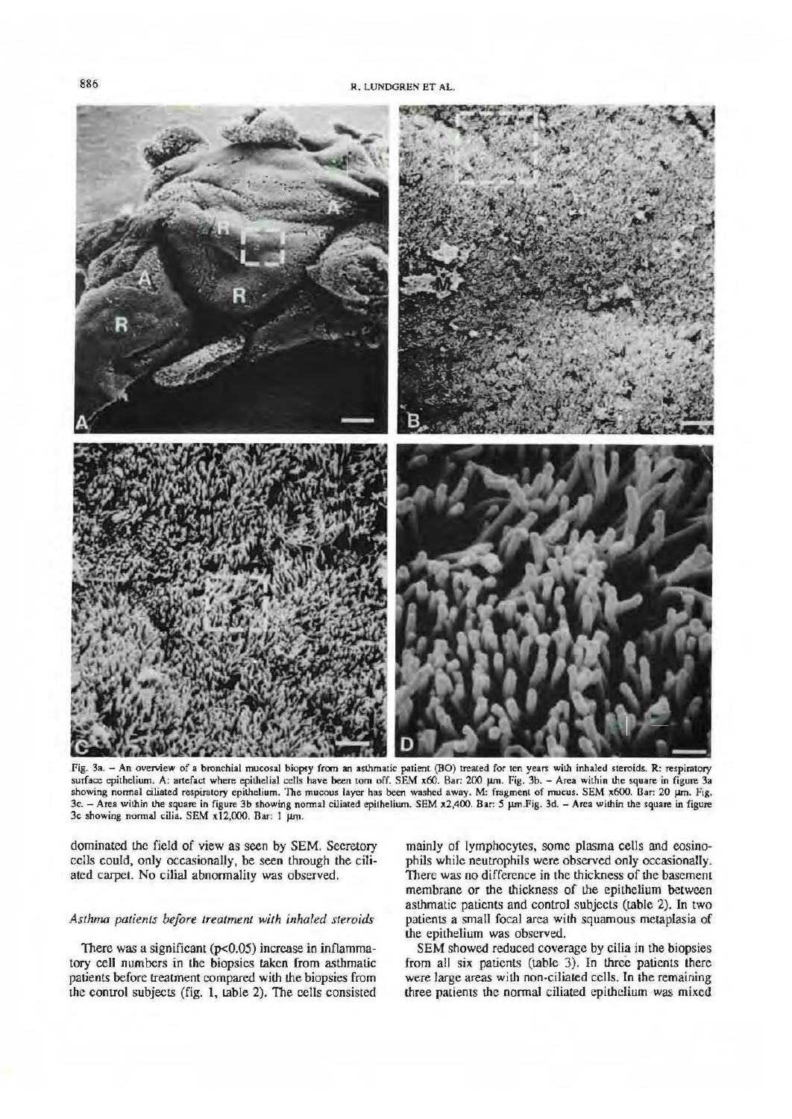

Fig. 3a. - An overview of a bronchial mucosal biopsy from an asthmatic patient (BO) treated for ten years with inhaled steroids. R: respiratory surface epithelium. A: artefact where epithelial cells have been torn off. SEM x60. Bar: 200 µm. Fig. 3b. - Area within the square in figure 3a showing normal ciliated respiratory epithelium. The mucous layer has been washed away. M: fragment of mucus. SEM x600. Bar: 20 um. Fig. 3c. - Area within the square in figure 3b showing normal ciliated epithelium. SEM x2,400. Bar: 5 µm.Fig. 3d. - Area within the square in figure 3c showing normal cilia. SEM x12,000. Bar: 1 um.

dominated the field of view as seen by SEM. Secretory cells could, only occasionally, be seen through the ciliated carpet. No cilial abnormality was observed.

# *Asthma patients before treatment with inhaled steroids*

There was a significant (p<0.05) increase in inflammatory cell numbers in the biopsies taken from asthmatic patients before treatment compared with the biopsies from the control subjects (fig. 1, table 2). The cells consisted mainly of lymphocytes, some plasma cells and eosinophils while neutrophils were observed only occasionally. There was no difference in the thickness of the basement membrane or the thickness of the epithelium between asthmatic patients and control subjects (table 2). In two patients a small focal area with squamous metaplasia of the epithelium was observed.

SEM showed reduced coverage by cilia in the biopsies from all six patients (table 3). In three patients there were large areas with non-ciliated cells. In the remaining three patients the normal ciliated epithelium was mixed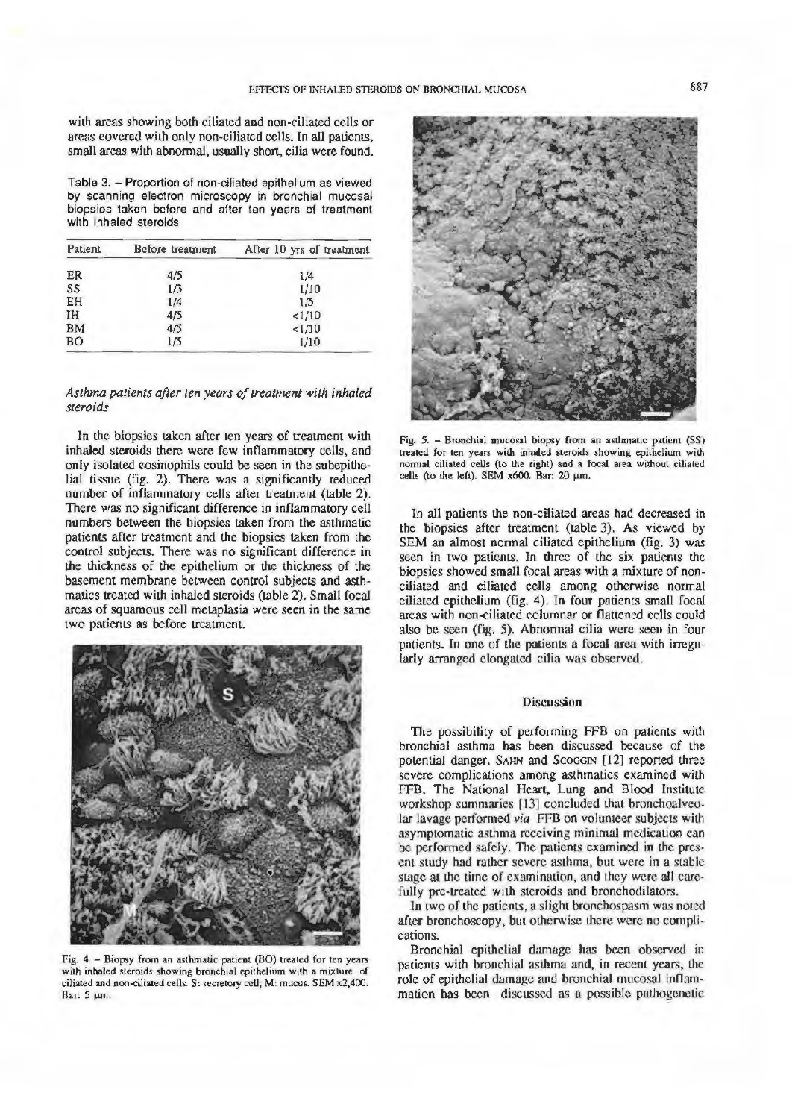with areas showing both ciliated and non-ciliated cells or areas covered with only non-ciliated cells. In all patients, small areas with abnormal, usually short, cilia were found.

Table 3.- Proportion of non-ciliated epithelium as viewed by scanning electron microscopy in bronchial mucosal biopsies taken before and after ten years of treatment with inhaled steroids

| Patient   | Before treatment | After 10 yrs of treatment |
|-----------|------------------|---------------------------|
| ER        | 4/5              | 1/4                       |
| SS        | 1/3              | 1/10                      |
| EH        | 1/4              | 1/5                       |
| ΙH        | 4/5              | 1/10                      |
| <b>BM</b> | 4/5              | <1/10                     |
| <b>BO</b> | 1/5              | 1/10                      |

## *Asthma patients after ten years of treatment with inhaled steroids*

In the biopsies taken after ten years of treatment with inhaled steroids there were few inflammatory cells, and only isolated eosinophils could be seen in the subepithelial tissue (fig. 2). There was a significantly reduced number of inflammatory cells after treatment {table 2). There was no significant difference in inflammatory cell numbers between the biopsies taken from the asthmatic patients after treatment and the biopsies taken from the control subjects. There was no significant difference in the thickness of the epithelium or the thickness of the basement membrane between control subjects and asthmatics treated with inhaled steroids {table 2). Small focal areas of squamous cell metaplasia were seen in the same two patients as before treatment.



Fig. 4. - Biopsy from an asthmatic patient (80) treated for ten years with inhaled steroids showing bronchial epithelium with a mixture of ciliated and non-ciliated celis. S: secretory ceU; M: mucus. SEM x2,400. Bar: 5  $~\mu$ m.



Fig. 5. - Bronchial mucosal biopsy from an asthmatic patient (SS) treated for ten years with inhaled steroids showing epithelium with normal ciliated ceUs (to the right) and a focal area without ciliated cells (to the left). SEM  $x600$ . Bar: 20  $\mu$ m.

In all patients the non-ciliated areas had decreased in the biopsies after treatment (table 3). As viewed by SEM an almost normal ciliated epithelium (fig. 3) was seen in two patients. In three of the six patients the biopsies showed small focal areas with a mixture of nonciliated and ciliated cells among otherwise normal ciliated epithelium (fig. 4). In four patients small focal areas with non-ciliated columnar or flattened cells could also be seen (fig. 5). Abnormal cilia were seen in four patients. ln one of the patients a focal area with irregularly arranged elongated cilia was observed.

## **Discussion**

The possibility of performing FFB on patients with bronchial asthma has been discussed because of the potential danger. SAHN and ScoGGIN [12] reported three severe complications among asthmatics examined with FFB. The National Heart, Lung and Blood Institute workshop summaries [13] concluded that bronchoaJveolar lavage performed *via* FFB on volunteer subjects with asymptomatic asthma receiving minimal medication can be performed safely. The patients examined in the present study had rather severe asthma, but were in a stable stage at the time of examination, and they were all carefully pre-treated with steroids and bronchodilators.

In two of the patients, a slight bronchospasm was noted after bronchoscopy, but otherwise there were no complications.

Bronchial epithelial damage has been observed in patients with bronchial asthma and, in recent years, the role of epithelial damage and bronchial mucosal inflammation has been discussed as a possible pnthogenetic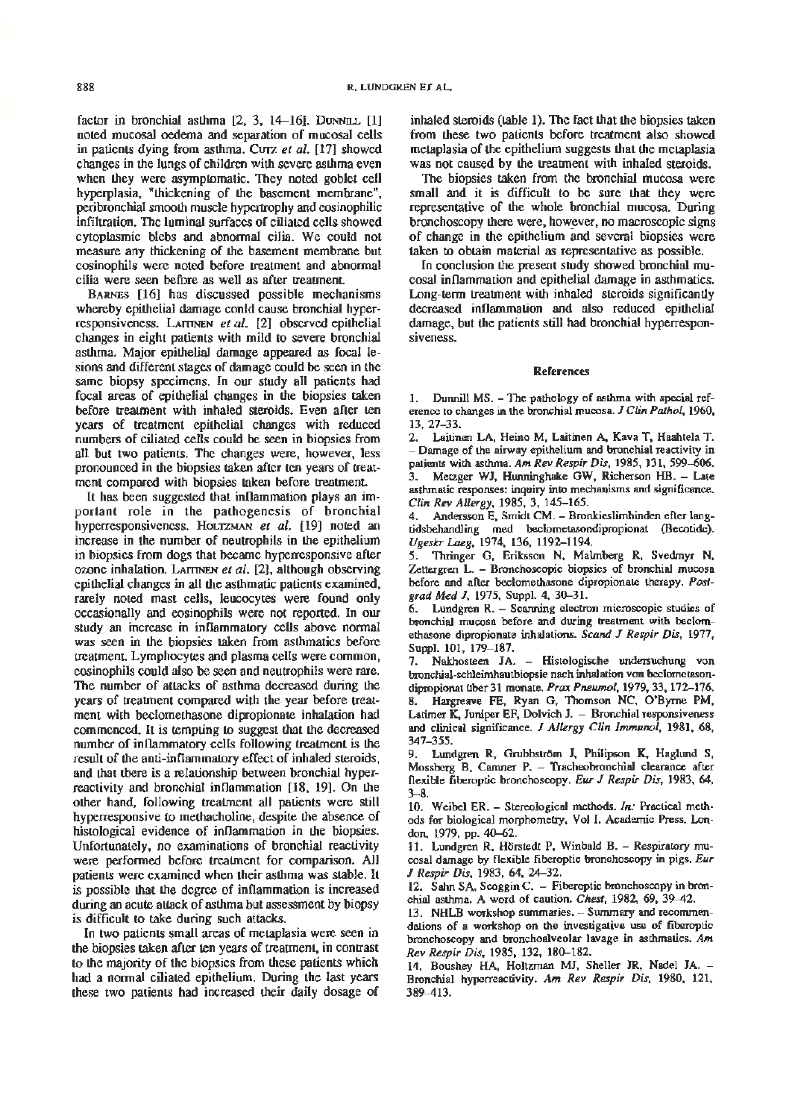factor in bronchial asthma  $[2, 3, 14-16]$ . Dunnu.  $[1]$ noted mucosal oedema and separation of mucosal cells in patients dying from asthma. CUTZ *et a/.* [17] showed changes in the lungs of children with severe asthma even when they were asymptomatic. They noted goblet cell hyperplasia, "thickening of the basement membrane", peribronchial smooth muscle hypertrophy and eosinophilic infiltration. The luminal surfaces of ciliated cells showed cytoplasmic blebs and abnormal cilia. We could not measure any thickening of the basement membrane but eosinophils were noted before treatment and abnormal cilia were seen before as well as after treatment.

BARNEs [16] has discussed possible mechanisms whereby epithelial damage conld cause bronchial hyperresponsiveness. LAITINEN et al. [2] observed epithelial changes in eight patients with mild to severe bronchial asthma. Major epithelial damage appeared as focal lesions and different stages of damage could be seen in the same biopsy specimens. In our study all patients had focal areas of epithelial changes in the biopsies taken before treatment with inhaled steroids. Even after ten years of treatment epithelial changes with reduced numbers of ciliated cells could be seen in biopsies from all but two patients. The changes were, however, less pronounced in the biopsies taken after ten years of treatment compared with biopsies taken before treatment.

It has been suggested that inflammation plays an important role in the pathogenesis of bronchial hyperresponsiveness. HoLTZMAN *et al.* [19] noted an increase in the number of neutrophils in the epithelium in biopsies from dogs that became hyperresponsive after ozone inhalation. LAITINEN et al. [2], although observing epithelial changes in all the asthmatic patients examined, rarely noted mast cells, leucocytes were found only occasionally and eosinophils were not reported. In our study an increase in inflammatory cells above normal was seen in the biopsies taken from asthmatics before treatment. Lymphocytes and plasma cells were common, cosinophils could also be seen and neutrophils were rare. The number of attacks of asthma decreased during the years of treatment compared with the year before treatment with beclomethasone dipropionate inhalation had commenced. It is tempting to suggest that the decreased number of inflammatory cells following treatment is the result of the anti-inflammatory effect of inhaled steroids, and that there is a relationship between bronchial hyperreactivity and bronchial inflammation [18, 19]. On the other hand, following treatment all patients were still hyperresponsive to methacholine, despite the absence of histological evidence of inflammation in the biopsies. Unfortunately, no examinations of bronchial reactivity were performed before treatment for comparison. All patients were examined when their asthma was stable. It is possible that the degree of inflammation is increased during an acute attack of asthma but assessment by biopsy is difficult to take during such attacks.

In two patients small areas of metaplasia were seen in the biopsies taken after ten years of treatment, in contrast to the majority of the biopsies from these patients which had a normal ciliated epithelium. During the last years these two patients had increased their daily dosage of inhaled steroids (table 1). The fact that the biopsies taken from these two patients before treatment also showed metaplasia of the epithelium suggests that the metaplasia was not caused by the treatment with inhaled steroids.

The biopsies taken from the bronchial mucosa were small and it is difficult to be sure that they were representative of the whole bronchial mucosa. During bronchoscopy there were, however, no macroscopic signs of change in the epithelium and several biopsies were taken to obtain material as representative as possible.

In conclusion the present study showed bronchial mucosal inflammation and epithelial damage in asthmatics. Long-term treatment with inhaled steroids significantly decreased inflammation and also reduced epithelial damage, but the patients still had bronchial hyperresponsiveness.

#### Rererences

1. Dunnill MS. - The pathology of asthma with special reference to changes in the bronchial mucosa. J *ClinPathol,* 1960, 13, 27-33.

2. Laitinen LA, Heino M, Laitinen A, Kava T, Haahtela T. - Damage of the airway epithelium and bronchial reactivity in patients with asthma. Am Rev Respir Dis, 1985, 131, 599-606.

3. Metzger WJ, Hunninghake GW, Richerson HB. - Late asthmatic responses: inquiry into mechanisms and significance. *Clin Rev Allergy, 1985, 3, 145-165.* 

4. Andersson E, Smidt CM. - Bronkieslimhinden efter langtidsbehandling med beclometasondipropionat (Becotide). *Ugeskr Laeg,* 1974, 136, 1192-1194.

5. Thringer G, Eriksson N, Malmberg R, Svedmyr N, Zettergren L. - Bronchoscopic biopsies of bronchial mucosa before and after beclomethasone dipropionate therapy. *Postgrad Med* J, 1975, Suppl. 4, 30-31.

Lundgren R. - Scanning electron microscopic studies of bronchial mucosa before and during treatment with beclomethasone dipropionate inhalations. *Scand* J *Respir Dis,* 1977, Suppl. 101, 179-187.

7. Nakhosteen JA. - Histologische undersuchung von bronchial-schleimhautbiopsie nach inhalation von beclometasondipropionat über 31 monate. Prax Pneumol, 1979, 33, 172-176. 8. Hargreave FE, Ryan G, Thomson NC, O'Byrne PM, Latimer K. Juniper EF, Dolvich J. - Bronchial responsiveness and clinical significance. J *Allergy Clin Jmmunol,* 1981, 68, 347-355.

9. Lundgren R, Grubbstr<>m J, Philipson K, Haglund *S,*  Mossberg B, Camner P. - Tracheobronchial clearance after flexible fiberoptic bronchoscopy. *Eur* J *Respir Dis,* 1983, 64,  $3 - 8.$ 

10. Weibel ER. - Stereological methods. *In:* Practical methods for biological morphometry, Vol I. Academic Press, London, 1979, pp. 40-62.

11. Lundgren R, Hörstedt P, Winbald B. - Respiratory mucosal damage by flexible fiberoptic bronchoscopy in pigs. *Eur*  J *Respir Dis,* 1983, 64, 24-32.

12. Sahn SA, Scoggin C. - Fiberoptic bronchoscopy in bronchial asthma. A word of caution. *Chest,* 1982, 69, 39~2.

13. NHLB workshop summaries. - Summary and recommendations of a workshop on the investigative use of fiberoptic bronchoscopy and bronchoalveolar lavage in asthmatics. *Am Rev Respir Dis,* 1985, 132, 180-182.

14. Boushey HA, Holtzman MJ, Sheller JR. Nadel JA. - Bronchial hyperreactivity. *Am Rev Respir Dis,* 1980, 121, 389~13.